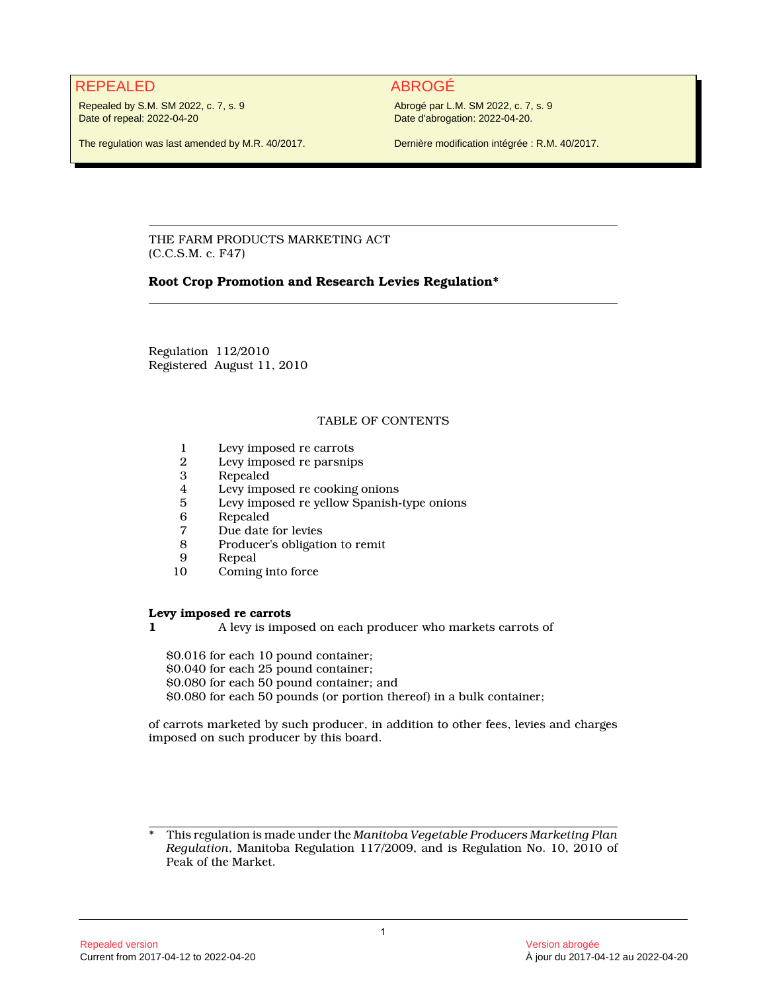## REPEALED ABROGÉ

Repealed by S.M. SM 2022, c. 7, s. 9 Date of repeal: 2022-04-20

Abrogé par L.M. SM 2022, c. 7, s. 9 Date d'abrogation: 2022-04-20.

The regulation was last amended by M.R. 40/2017.

Dernière modification intégrée : R.M. 40/2017.

THE FARM PRODUCTS MARKETING ACT (C.C.S.M. c. F47)

## **Root Crop Promotion and Research Levies Regulation\***

Regulation 112/2010 Registered August 11, 2010

## TABLE OF CONTENTS

- 1 Levy imposed re carrots<br>2 Levy imposed re parsnip
- 2 Levy imposed re parsnips
- **Repealed**
- 4 Levy imposed re cooking onions<br>5 Levy imposed re vellow Spanish-
- 5 Levy imposed re yellow Spanish-type onions
- 6 Repealed<br>7 Due date
- 7 Due date for levies<br>8 Producer's obligatie
- 8 Producer's obligation to remit
- 9 Repeal<br>10 Coming
- Coming into force

### **Levy imposed re carrots**

**1** A levy is imposed on each producer who markets carrots of

\$0.016 for each 10 pound container;

\$0.040 for each 25 pound container; \$0.080 for each 50 pound container; and

\$0.080 for each 50 pounds (or portion thereof) in a bulk container;

of carrots marketed by such producer, in addition to other fees, levies and charges imposed on such producer by this board.

<sup>\*</sup> This regulation is made under the *Manitoba Vegetable Producers Marketing Plan Regulation*, Manitoba Regulation 117/2009, and is Regulation No. 10, 2010 of Peak of the Market.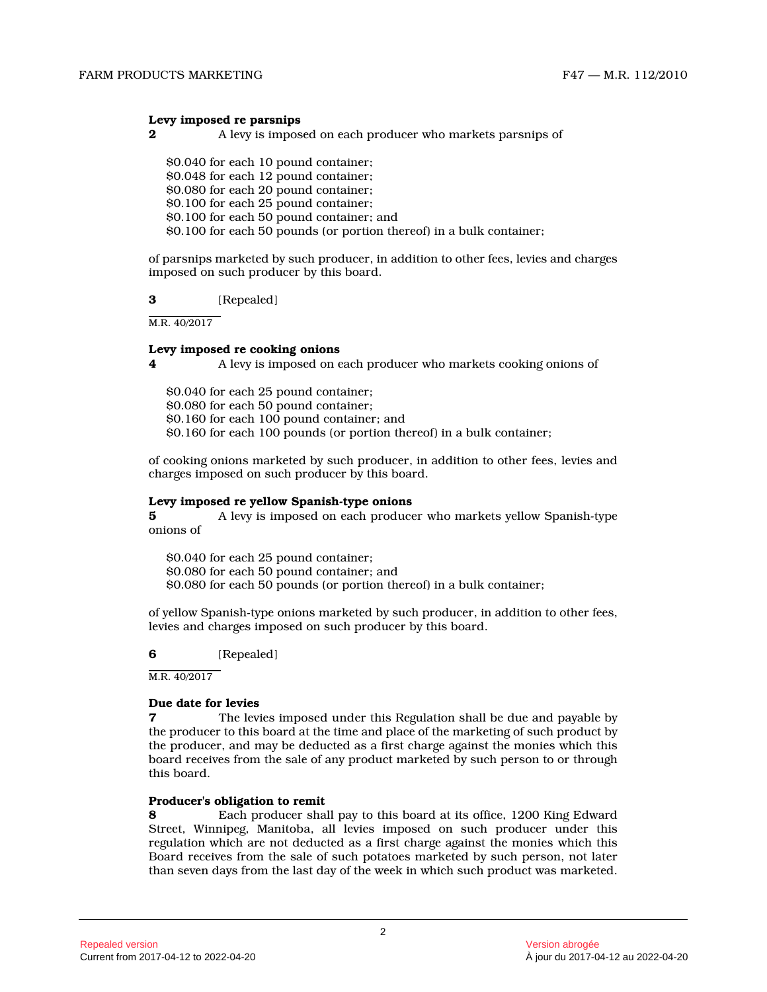#### **Levy imposed re parsnips**

**2 A** levy is imposed on each producer who markets parsnips of

\$0.040 for each 10 pound container; \$0.048 for each 12 pound container; \$0.080 for each 20 pound container; \$0.100 for each 25 pound container; \$0.100 for each 50 pound container; and \$0.100 for each 50 pounds (or portion thereof) in a bulk container;

of parsnips marketed by such producer, in addition to other fees, levies and charges imposed on such producer by this board.

#### **3** [Repealed]

M.R. 40/2017

#### **Levy imposed re cooking onions**

**4** A levy is imposed on each producer who markets cooking onions of

\$0.040 for each 25 pound container; \$0.080 for each 50 pound container; \$0.160 for each 100 pound container; and \$0.160 for each 100 pounds (or portion thereof) in a bulk container;

of cooking onions marketed by such producer, in addition to other fees, levies and charges imposed on such producer by this board.

#### **Levy imposed re yellow Spanish-type onions**

**5** A levy is imposed on each producer who markets yellow Spanish-type onions of

\$0.040 for each 25 pound container; \$0.080 for each 50 pound container; and \$0.080 for each 50 pounds (or portion thereof) in a bulk container;

of yellow Spanish-type onions marketed by such producer, in addition to other fees, levies and charges imposed on such producer by this board.

**6** [Repealed]

M.R. 40/2017

#### **Due date for levies**

**7** The levies imposed under this Regulation shall be due and payable by the producer to this board at the time and place of the marketing of such product by the producer, and may be deducted as a first charge against the monies which this board receives from the sale of any product marketed by such person to or through this board.

## **Producer's obligation to remit<br>8** Each producer shall

**8** Each producer shall pay to this board at its office, 1200 King Edward Street, Winnipeg, Manitoba, all levies imposed on such producer under this regulation which are not deducted as a first charge against the monies which this Board receives from the sale of such potatoes marketed by such person, not later than seven days from the last day of the week in which such product was marketed.